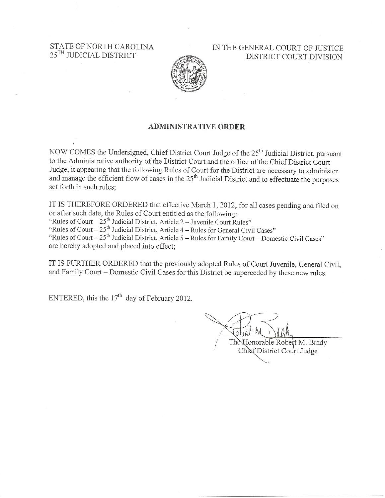STATE OF NORTH CAROLINA 25<sup>TH</sup> JUDICIAL DISTRICT

IN THE GENERAL COURT OF JUSTICE DISTRICT COURT DIVISION



#### **ADMINISTRATIVE ORDER**

NOW COMES the Undersigned, Chief District Court Judge of the 25<sup>th</sup> Judicial District, pursuant to the Administrative authority of the District Court and the office of the Chief District Court Judge, it appearing that the following Rules of Court for the District are necessary to administer and manage the efficient flow of cases in the 25<sup>th</sup> Judicial District and to effectuate the purposes set forth in such rules;

IT IS THEREFORE ORDERED that effective March 1, 2012, for all cases pending and filed on or after such date, the Rules of Court entitled as the following:

"Rules of Court  $-25$ <sup>th</sup> Judicial District, Article 2 – Juvenile Court Rules"

"Rules of Court –  $25<sup>th</sup>$  Judicial District, Article 4 – Rules for General Civil Cases"

"Rules of Court – 25<sup>th</sup> Judicial District, Article 5 – Rules for Family Court – Domestic Civil Cases" are hereby adopted and placed into effect;

IT IS FURTHER ORDERED that the previously adopted Rules of Court Juvenile, General Civil, and Family Court - Domestic Civil Cases for this District be superceded by these new rules.

ENTERED, this the  $17<sup>th</sup>$  day of February 2012.

The Honorable Robert M. Brady Chief District Court Judge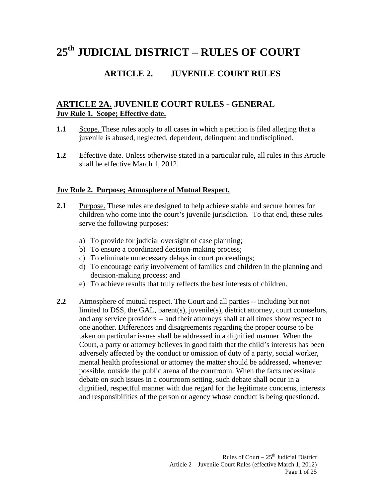# **25th JUDICIAL DISTRICT – RULES OF COURT**

# **ARTICLE 2. JUVENILE COURT RULES**

# **ARTICLE 2A. JUVENILE COURT RULES - GENERAL Juv Rule 1. Scope; Effective date.**

- **1.1** Scope. These rules apply to all cases in which a petition is filed alleging that a juvenile is abused, neglected, dependent, delinquent and undisciplined.
- **1.2** Effective date. Unless otherwise stated in a particular rule, all rules in this Article shall be effective March 1, 2012.

#### **Juv Rule 2. Purpose; Atmosphere of Mutual Respect.**

- **2.1** Purpose. These rules are designed to help achieve stable and secure homes for children who come into the court's juvenile jurisdiction. To that end, these rules serve the following purposes:
	- a) To provide for judicial oversight of case planning;
	- b) To ensure a coordinated decision-making process;
	- c) To eliminate unnecessary delays in court proceedings;
	- d) To encourage early involvement of families and children in the planning and decision-making process; and
	- e) To achieve results that truly reflects the best interests of children.
- **2.2** Atmosphere of mutual respect. The Court and all parties -- including but not limited to DSS, the GAL, parent(s), juvenile(s), district attorney, court counselors, and any service providers -- and their attorneys shall at all times show respect to one another. Differences and disagreements regarding the proper course to be taken on particular issues shall be addressed in a dignified manner. When the Court, a party or attorney believes in good faith that the child's interests has been adversely affected by the conduct or omission of duty of a party, social worker, mental health professional or attorney the matter should be addressed, whenever possible, outside the public arena of the courtroom. When the facts necessitate debate on such issues in a courtroom setting, such debate shall occur in a dignified, respectful manner with due regard for the legitimate concerns, interests and responsibilities of the person or agency whose conduct is being questioned.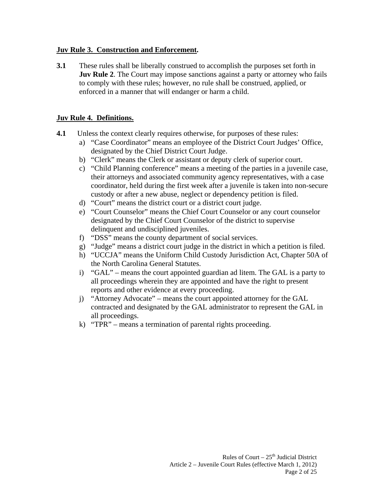#### **Juv Rule 3. Construction and Enforcement.**

**3.1** These rules shall be liberally construed to accomplish the purposes set forth in **Juv Rule 2.** The Court may impose sanctions against a party or attorney who fails to comply with these rules; however, no rule shall be construed, applied, or enforced in a manner that will endanger or harm a child.

#### **Juv Rule 4. Definitions.**

- **4.1** Unless the context clearly requires otherwise, for purposes of these rules:
	- a) "Case Coordinator" means an employee of the District Court Judges' Office, designated by the Chief District Court Judge.
	- b) "Clerk" means the Clerk or assistant or deputy clerk of superior court.
	- c) "Child Planning conference" means a meeting of the parties in a juvenile case, their attorneys and associated community agency representatives, with a case coordinator, held during the first week after a juvenile is taken into non-secure custody or after a new abuse, neglect or dependency petition is filed.
	- d) "Court" means the district court or a district court judge.
	- e) "Court Counselor" means the Chief Court Counselor or any court counselor designated by the Chief Court Counselor of the district to supervise delinquent and undisciplined juveniles.
	- f) "DSS" means the county department of social services.
	- g) "Judge" means a district court judge in the district in which a petition is filed.
	- h) "UCCJA" means the Uniform Child Custody Jurisdiction Act, Chapter 50A of the North Carolina General Statutes.
	- i) "GAL" means the court appointed guardian ad litem. The GAL is a party to all proceedings wherein they are appointed and have the right to present reports and other evidence at every proceeding.
	- j) "Attorney Advocate" means the court appointed attorney for the GAL contracted and designated by the GAL administrator to represent the GAL in all proceedings.
	- k) "TPR" means a termination of parental rights proceeding.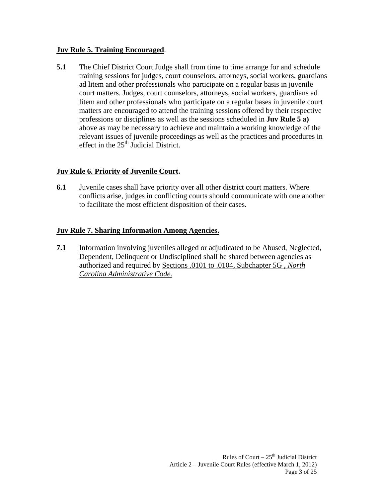#### **Juv Rule 5. Training Encouraged**.

**5.1** The Chief District Court Judge shall from time to time arrange for and schedule training sessions for judges, court counselors, attorneys, social workers, guardians ad litem and other professionals who participate on a regular basis in juvenile court matters. Judges, court counselors, attorneys, social workers, guardians ad litem and other professionals who participate on a regular bases in juvenile court matters are encouraged to attend the training sessions offered by their respective professions or disciplines as well as the sessions scheduled in **Juv Rule 5 a)**  above as may be necessary to achieve and maintain a working knowledge of the relevant issues of juvenile proceedings as well as the practices and procedures in effect in the  $25<sup>th</sup>$  Judicial District.

# **Juv Rule 6. Priority of Juvenile Court.**

**6.1** Juvenile cases shall have priority over all other district court matters. Where conflicts arise, judges in conflicting courts should communicate with one another to facilitate the most efficient disposition of their cases.

# **Juv Rule 7. Sharing Information Among Agencies.**

**7.1** Information involving juveniles alleged or adjudicated to be Abused, Neglected, Dependent, Delinquent or Undisciplined shall be shared between agencies as authorized and required by Sections .0101 to .0104, Subchapter 5G , *North Carolina Administrative Code.*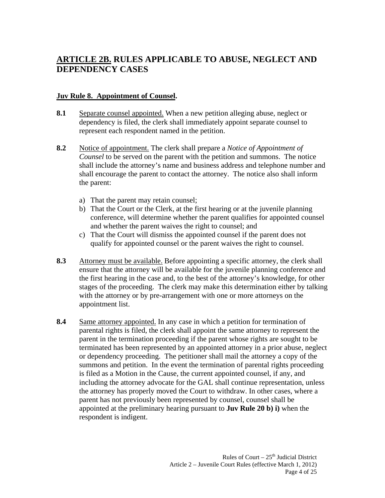# **ARTICLE 2B. RULES APPLICABLE TO ABUSE, NEGLECT AND DEPENDENCY CASES**

#### **Juv Rule 8. Appointment of Counsel.**

- **8.1** Separate counsel appointed. When a new petition alleging abuse, neglect or dependency is filed, the clerk shall immediately appoint separate counsel to represent each respondent named in the petition.
- **8.2** Notice of appointment. The clerk shall prepare a *Notice of Appointment of Counsel* to be served on the parent with the petition and summons. The notice shall include the attorney's name and business address and telephone number and shall encourage the parent to contact the attorney. The notice also shall inform the parent:
	- a) That the parent may retain counsel;
	- b) That the Court or the Clerk, at the first hearing or at the juvenile planning conference, will determine whether the parent qualifies for appointed counsel and whether the parent waives the right to counsel; and
	- c) That the Court will dismiss the appointed counsel if the parent does not qualify for appointed counsel or the parent waives the right to counsel.
- **8.3** Attorney must be available. Before appointing a specific attorney, the clerk shall ensure that the attorney will be available for the juvenile planning conference and the first hearing in the case and, to the best of the attorney's knowledge, for other stages of the proceeding. The clerk may make this determination either by talking with the attorney or by pre-arrangement with one or more attorneys on the appointment list.
- **8.4** Same attorney appointed. In any case in which a petition for termination of parental rights is filed, the clerk shall appoint the same attorney to represent the parent in the termination proceeding if the parent whose rights are sought to be terminated has been represented by an appointed attorney in a prior abuse, neglect or dependency proceeding. The petitioner shall mail the attorney a copy of the summons and petition. In the event the termination of parental rights proceeding is filed as a Motion in the Cause, the current appointed counsel, if any, and including the attorney advocate for the GAL shall continue representation, unless the attorney has properly moved the Court to withdraw. In other cases, where a parent has not previously been represented by counsel, counsel shall be appointed at the preliminary hearing pursuant to **Juv Rule 20 b) i)** when the respondent is indigent.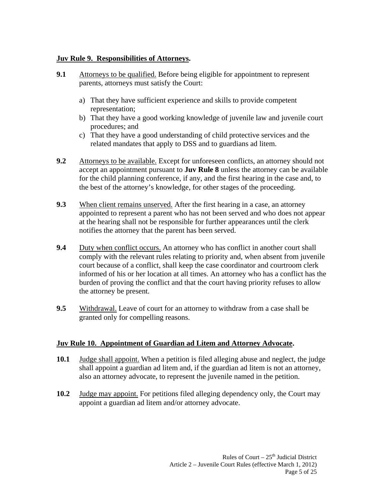#### **Juv Rule 9. Responsibilities of Attorneys.**

- **9.1** Attorneys to be qualified. Before being eligible for appointment to represent parents, attorneys must satisfy the Court:
	- a) That they have sufficient experience and skills to provide competent representation;
	- b) That they have a good working knowledge of juvenile law and juvenile court procedures; and
	- c) That they have a good understanding of child protective services and the related mandates that apply to DSS and to guardians ad litem.
- **9.2** Attorneys to be available. Except for unforeseen conflicts, an attorney should not accept an appointment pursuant to **Juv Rule 8** unless the attorney can be available for the child planning conference, if any, and the first hearing in the case and, to the best of the attorney's knowledge, for other stages of the proceeding.
- **9.3** When client remains unserved. After the first hearing in a case, an attorney appointed to represent a parent who has not been served and who does not appear at the hearing shall not be responsible for further appearances until the clerk notifies the attorney that the parent has been served.
- **9.4 Duty when conflict occurs.** An attorney who has conflict in another court shall comply with the relevant rules relating to priority and, when absent from juvenile court because of a conflict, shall keep the case coordinator and courtroom clerk informed of his or her location at all times. An attorney who has a conflict has the burden of proving the conflict and that the court having priority refuses to allow the attorney be present.
- **9.5** Withdrawal. Leave of court for an attorney to withdraw from a case shall be granted only for compelling reasons.

# **Juv Rule 10. Appointment of Guardian ad Litem and Attorney Advocate.**

- **10.1** Judge shall appoint. When a petition is filed alleging abuse and neglect, the judge shall appoint a guardian ad litem and, if the guardian ad litem is not an attorney, also an attorney advocate, to represent the juvenile named in the petition.
- **10.2** Judge may appoint. For petitions filed alleging dependency only, the Court may appoint a guardian ad litem and/or attorney advocate.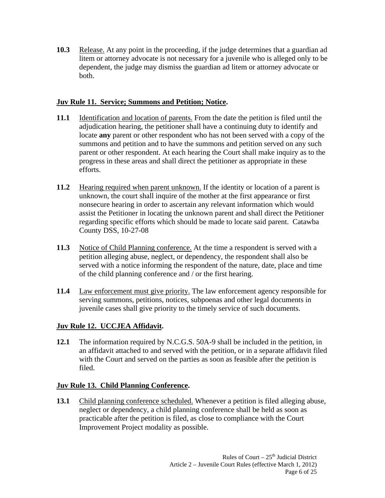**10.3** Release. At any point in the proceeding, if the judge determines that a guardian ad litem or attorney advocate is not necessary for a juvenile who is alleged only to be dependent, the judge may dismiss the guardian ad litem or attorney advocate or both.

# **Juv Rule 11. Service; Summons and Petition; Notice.**

- **11.1** Identification and location of parents. From the date the petition is filed until the adjudication hearing, the petitioner shall have a continuing duty to identify and locate **any** parent or other respondent who has not been served with a copy of the summons and petition and to have the summons and petition served on any such parent or other respondent. At each hearing the Court shall make inquiry as to the progress in these areas and shall direct the petitioner as appropriate in these efforts.
- **11.2** Hearing required when parent unknown. If the identity or location of a parent is unknown, the court shall inquire of the mother at the first appearance or first nonsecure hearing in order to ascertain any relevant information which would assist the Petitioner in locating the unknown parent and shall direct the Petitioner regarding specific efforts which should be made to locate said parent. Catawba County DSS, 10-27-08
- **11.3** Notice of Child Planning conference. At the time a respondent is served with a petition alleging abuse, neglect, or dependency, the respondent shall also be served with a notice informing the respondent of the nature, date, place and time of the child planning conference and / or the first hearing.
- **11.4** Law enforcement must give priority. The law enforcement agency responsible for serving summons, petitions, notices, subpoenas and other legal documents in juvenile cases shall give priority to the timely service of such documents.

# **Juv Rule 12. UCCJEA Affidavit.**

**12.1** The information required by N.C.G.S. 50A-9 shall be included in the petition, in an affidavit attached to and served with the petition, or in a separate affidavit filed with the Court and served on the parties as soon as feasible after the petition is filed.

# **Juv Rule 13. Child Planning Conference.**

13.1 Child planning conference scheduled. Whenever a petition is filed alleging abuse, neglect or dependency, a child planning conference shall be held as soon as practicable after the petition is filed, as close to compliance with the Court Improvement Project modality as possible.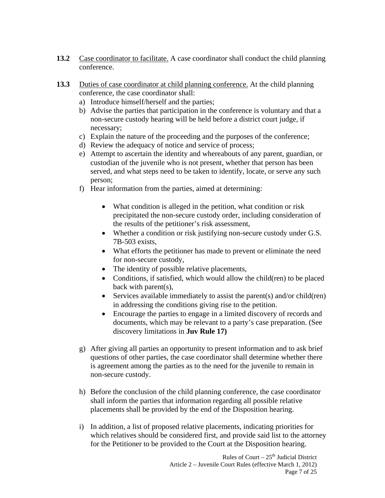- **13.2** Case coordinator to facilitate. A case coordinator shall conduct the child planning conference.
- **13.3** Duties of case coordinator at child planning conference. At the child planning conference, the case coordinator shall:
	- a) Introduce himself/herself and the parties;
	- b) Advise the parties that participation in the conference is voluntary and that a non-secure custody hearing will be held before a district court judge, if necessary;
	- c) Explain the nature of the proceeding and the purposes of the conference;
	- d) Review the adequacy of notice and service of process;
	- e) Attempt to ascertain the identity and whereabouts of any parent, guardian, or custodian of the juvenile who is not present, whether that person has been served, and what steps need to be taken to identify, locate, or serve any such person;
	- f) Hear information from the parties, aimed at determining:
		- What condition is alleged in the petition, what condition or risk precipitated the non-secure custody order, including consideration of the results of the petitioner's risk assessment,
		- Whether a condition or risk justifying non-secure custody under G.S. 7B-503 exists,
		- What efforts the petitioner has made to prevent or eliminate the need for non-secure custody,
		- The identity of possible relative placements,
		- Conditions, if satisfied, which would allow the child(ren) to be placed back with parent(s),
		- $\bullet$  Services available immediately to assist the parent(s) and/or child(ren) in addressing the conditions giving rise to the petition.
		- Encourage the parties to engage in a limited discovery of records and documents, which may be relevant to a party's case preparation. (See discovery limitations in **Juv Rule 17)**
	- g) After giving all parties an opportunity to present information and to ask brief questions of other parties, the case coordinator shall determine whether there is agreement among the parties as to the need for the juvenile to remain in non-secure custody.
	- h) Before the conclusion of the child planning conference, the case coordinator shall inform the parties that information regarding all possible relative placements shall be provided by the end of the Disposition hearing.
	- i) In addition, a list of proposed relative placements, indicating priorities for which relatives should be considered first, and provide said list to the attorney for the Petitioner to be provided to the Court at the Disposition hearing.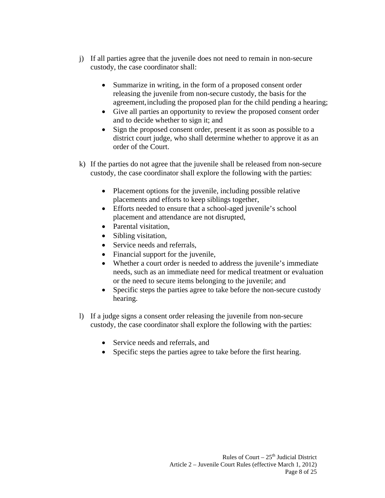- j) If all parties agree that the juvenile does not need to remain in non-secure custody, the case coordinator shall:
	- Summarize in writing, in the form of a proposed consent order releasing the juvenile from non-secure custody, the basis for the agreement, including the proposed plan for the child pending a hearing;
	- Give all parties an opportunity to review the proposed consent order and to decide whether to sign it; and
	- Sign the proposed consent order, present it as soon as possible to a district court judge, who shall determine whether to approve it as an order of the Court.
- k) If the parties do not agree that the juvenile shall be released from non-secure custody, the case coordinator shall explore the following with the parties:
	- Placement options for the juvenile, including possible relative placements and efforts to keep siblings together,
	- Efforts needed to ensure that a school-aged juvenile's school placement and attendance are not disrupted,
	- Parental visitation,
	- Sibling visitation,
	- Service needs and referrals,
	- Financial support for the juvenile,
	- Whether a court order is needed to address the juvenile's immediate needs, such as an immediate need for medical treatment or evaluation or the need to secure items belonging to the juvenile; and
	- Specific steps the parties agree to take before the non-secure custody hearing.
- l) If a judge signs a consent order releasing the juvenile from non-secure custody, the case coordinator shall explore the following with the parties:
	- Service needs and referrals, and
	- Specific steps the parties agree to take before the first hearing.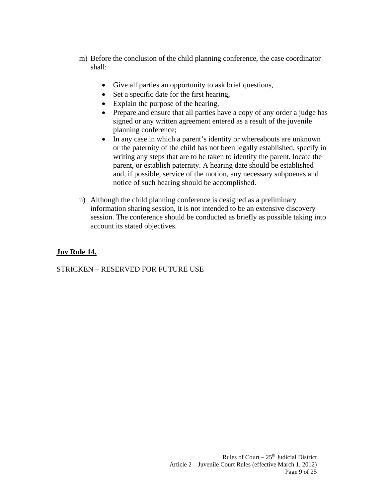- m) Before the conclusion of the child planning conference, the case coordinator shall:
	- Give all parties an opportunity to ask brief questions,
	- Set a specific date for the first hearing,
	- Explain the purpose of the hearing,
	- Prepare and ensure that all parties have a copy of any order a judge has signed or any written agreement entered as a result of the juvenile planning conference;
	- In any case in which a parent's identity or whereabouts are unknown or the paternity of the child has not been legally established, specify in writing any steps that are to be taken to identify the parent, locate the parent, or establish paternity. A hearing date should be established and, if possible, service of the motion, any necessary subpoenas and notice of such hearing should be accomplished.
- n) Although the child planning conference is designed as a preliminary information sharing session, it is not intended to be an extensive discovery session. The conference should be conducted as briefly as possible taking into account its stated objectives.

# **Juv Rule 14.**

STRICKEN – RESERVED FOR FUTURE USE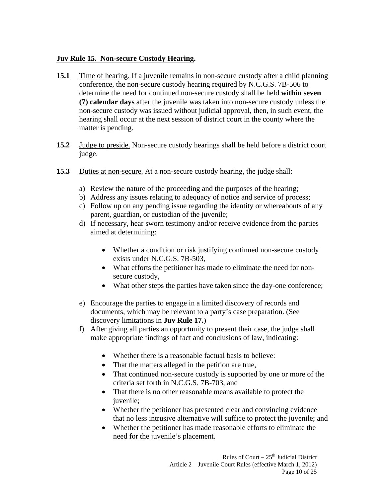#### **Juv Rule 15. Non-secure Custody Hearing.**

- **15.1** Time of hearing. If a juvenile remains in non-secure custody after a child planning conference, the non-secure custody hearing required by N.C.G.S. 7B-506 to determine the need for continued non-secure custody shall be held **within seven (7) calendar days** after the juvenile was taken into non-secure custody unless the non-secure custody was issued without judicial approval, then, in such event, the hearing shall occur at the next session of district court in the county where the matter is pending.
- **15.2** Judge to preside. Non-secure custody hearings shall be held before a district court judge.
- **15.3** Duties at non-secure. At a non-secure custody hearing, the judge shall:
	- a) Review the nature of the proceeding and the purposes of the hearing;
	- b) Address any issues relating to adequacy of notice and service of process;
	- c) Follow up on any pending issue regarding the identity or whereabouts of any parent, guardian, or custodian of the juvenile;
	- d) If necessary, hear sworn testimony and/or receive evidence from the parties aimed at determining:
		- Whether a condition or risk justifying continued non-secure custody exists under N.C.G.S. 7B-503,
		- What efforts the petitioner has made to eliminate the need for nonsecure custody,
		- What other steps the parties have taken since the day-one conference;
	- e) Encourage the parties to engage in a limited discovery of records and documents, which may be relevant to a party's case preparation. (See discovery limitations in **Juv Rule 17.**)
	- f) After giving all parties an opportunity to present their case, the judge shall make appropriate findings of fact and conclusions of law, indicating:
		- Whether there is a reasonable factual basis to believe:
		- That the matters alleged in the petition are true,
		- That continued non-secure custody is supported by one or more of the criteria set forth in N.C.G.S. 7B-703, and
		- That there is no other reasonable means available to protect the juvenile;
		- Whether the petitioner has presented clear and convincing evidence that no less intrusive alternative will suffice to protect the juvenile; and
		- Whether the petitioner has made reasonable efforts to eliminate the need for the juvenile's placement.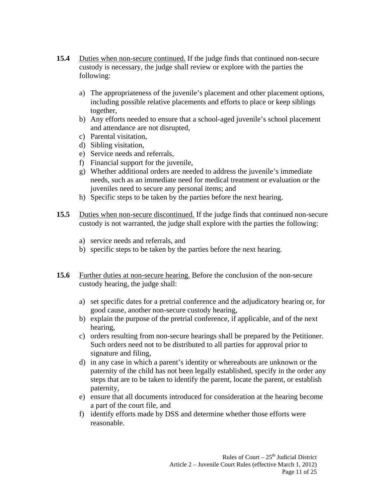- **15.4** Duties when non-secure continued. If the judge finds that continued non-secure custody is necessary, the judge shall review or explore with the parties the following:
	- a) The appropriateness of the juvenile's placement and other placement options, including possible relative placements and efforts to place or keep siblings together,
	- b) Any efforts needed to ensure that a school-aged juvenile's school placement and attendance are not disrupted,
	- c) Parental visitation,
	- d) Sibling visitation,
	- e) Service needs and referrals,
	- f) Financial support for the juvenile,
	- g) Whether additional orders are needed to address the juvenile's immediate needs, such as an immediate need for medical treatment or evaluation or the juveniles need to secure any personal items; and
	- h) Specific steps to be taken by the parties before the next hearing.
- **15.5** Duties when non-secure discontinued. If the judge finds that continued non-secure custody is not warranted, the judge shall explore with the parties the following:
	- a) service needs and referrals, and
	- b) specific steps to be taken by the parties before the next hearing.
- **15.6** Further duties at non-secure hearing. Before the conclusion of the non-secure custody hearing, the judge shall:
	- a) set specific dates for a pretrial conference and the adjudicatory hearing or, for good cause, another non-secure custody hearing,
	- b) explain the purpose of the pretrial conference, if applicable, and of the next hearing,
	- c) orders resulting from non-secure hearings shall be prepared by the Petitioner. Such orders need not to be distributed to all parties for approval prior to signature and filing,
	- d) in any case in which a parent's identity or whereabouts are unknown or the paternity of the child has not been legally established, specify in the order any steps that are to be taken to identify the parent, locate the parent, or establish paternity,
	- e) ensure that all documents introduced for consideration at the hearing become a part of the court file, and
	- f) identify efforts made by DSS and determine whether those efforts were reasonable.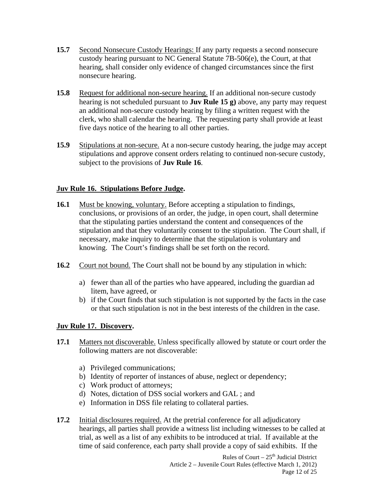- **15.7** Second Nonsecure Custody Hearings: If any party requests a second nonsecure custody hearing pursuant to NC General Statute 7B-506(e), the Court, at that hearing, shall consider only evidence of changed circumstances since the first nonsecure hearing.
- **15.8** Request for additional non-secure hearing. If an additional non-secure custody hearing is not scheduled pursuant to **Juv Rule 15 g)** above, any party may request an additional non-secure custody hearing by filing a written request with the clerk, who shall calendar the hearing. The requesting party shall provide at least five days notice of the hearing to all other parties.
- **15.9** Stipulations at non-secure. At a non-secure custody hearing, the judge may accept stipulations and approve consent orders relating to continued non-secure custody, subject to the provisions of **Juv Rule 16**.

# **Juv Rule 16. Stipulations Before Judge.**

- **16.1** Must be knowing, voluntary. Before accepting a stipulation to findings, conclusions, or provisions of an order, the judge, in open court, shall determine that the stipulating parties understand the content and consequences of the stipulation and that they voluntarily consent to the stipulation. The Court shall, if necessary, make inquiry to determine that the stipulation is voluntary and knowing. The Court's findings shall be set forth on the record.
- **16.2** Court not bound. The Court shall not be bound by any stipulation in which:
	- a) fewer than all of the parties who have appeared, including the guardian ad litem, have agreed, or
	- b) if the Court finds that such stipulation is not supported by the facts in the case or that such stipulation is not in the best interests of the children in the case.

#### **Juv Rule 17. Discovery.**

- **17.1** Matters not discoverable. Unless specifically allowed by statute or court order the following matters are not discoverable:
	- a) Privileged communications;
	- b) Identity of reporter of instances of abuse, neglect or dependency;
	- c) Work product of attorneys;
	- d) Notes, dictation of DSS social workers and GAL ; and
	- e) Information in DSS file relating to collateral parties.
- **17.2** Initial disclosures required. At the pretrial conference for all adjudicatory hearings, all parties shall provide a witness list including witnesses to be called at trial, as well as a list of any exhibits to be introduced at trial. If available at the time of said conference, each party shall provide a copy of said exhibits. If the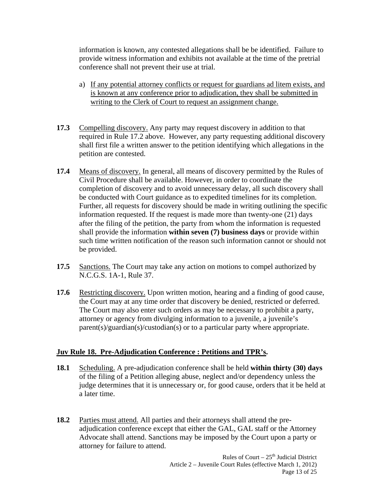information is known, any contested allegations shall be be identified. Failure to provide witness information and exhibits not available at the time of the pretrial conference shall not prevent their use at trial.

- a) If any potential attorney conflicts or request for guardians ad litem exists, and is known at any conference prior to adjudication, they shall be submitted in writing to the Clerk of Court to request an assignment change.
- **17.3** Compelling discovery. Any party may request discovery in addition to that required in Rule 17.2 above. However, any party requesting additional discovery shall first file a written answer to the petition identifying which allegations in the petition are contested.
- **17.4** Means of discovery. In general, all means of discovery permitted by the Rules of Civil Procedure shall be available. However, in order to coordinate the completion of discovery and to avoid unnecessary delay, all such discovery shall be conducted with Court guidance as to expedited timelines for its completion. Further, all requests for discovery should be made in writing outlining the specific information requested. If the request is made more than twenty-one (21) days after the filing of the petition, the party from whom the information is requested shall provide the information **within seven (7) business days** or provide within such time written notification of the reason such information cannot or should not be provided.
- **17.5** Sanctions. The Court may take any action on motions to compel authorized by N.C.G.S. 1A-1, Rule 37.
- **17.6** Restricting discovery. Upon written motion, hearing and a finding of good cause, the Court may at any time order that discovery be denied, restricted or deferred. The Court may also enter such orders as may be necessary to prohibit a party, attorney or agency from divulging information to a juvenile, a juvenile's parent(s)/guardian(s)/custodian(s) or to a particular party where appropriate.

#### **Juv Rule 18. Pre-Adjudication Conference : Petitions and TPR's.**

- **18.1** Scheduling. A pre-adjudication conference shall be held **within thirty (30) days** of the filing of a Petition alleging abuse, neglect and/or dependency unless the judge determines that it is unnecessary or, for good cause, orders that it be held at a later time.
- **18.2** Parties must attend. All parties and their attorneys shall attend the preadjudication conference except that either the GAL, GAL staff or the Attorney Advocate shall attend. Sanctions may be imposed by the Court upon a party or attorney for failure to attend.

Rules of Court  $-25<sup>th</sup>$  Judicial District Article 2 – Juvenile Court Rules (effective March 1, 2012) Page 13 of 25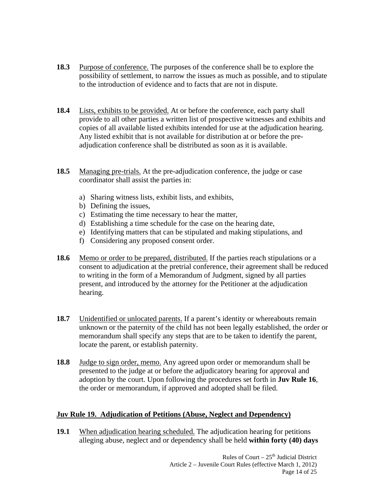- **18.3** Purpose of conference. The purposes of the conference shall be to explore the possibility of settlement, to narrow the issues as much as possible, and to stipulate to the introduction of evidence and to facts that are not in dispute.
- **18.4** Lists, exhibits to be provided. At or before the conference, each party shall provide to all other parties a written list of prospective witnesses and exhibits and copies of all available listed exhibits intended for use at the adjudication hearing. Any listed exhibit that is not available for distribution at or before the preadjudication conference shall be distributed as soon as it is available.
- **18.5** Managing pre-trials. At the pre-adjudication conference, the judge or case coordinator shall assist the parties in:
	- a) Sharing witness lists, exhibit lists, and exhibits,
	- b) Defining the issues,
	- c) Estimating the time necessary to hear the matter,
	- d) Establishing a time schedule for the case on the hearing date,
	- e) Identifying matters that can be stipulated and making stipulations, and
	- f) Considering any proposed consent order.
- **18.6** Memo or order to be prepared, distributed. If the parties reach stipulations or a consent to adjudication at the pretrial conference, their agreement shall be reduced to writing in the form of a Memorandum of Judgment, signed by all parties present, and introduced by the attorney for the Petitioner at the adjudication hearing.
- **18.7** Unidentified or unlocated parents. If a parent's identity or whereabouts remain unknown or the paternity of the child has not been legally established, the order or memorandum shall specify any steps that are to be taken to identify the parent, locate the parent, or establish paternity.
- **18.8** Judge to sign order, memo. Any agreed upon order or memorandum shall be presented to the judge at or before the adjudicatory hearing for approval and adoption by the court. Upon following the procedures set forth in **Juv Rule 16**, the order or memorandum, if approved and adopted shall be filed.

#### **Juv Rule 19. Adjudication of Petitions (Abuse, Neglect and Dependency)**

**19.1** When adjudication hearing scheduled. The adjudication hearing for petitions alleging abuse, neglect and or dependency shall be held **within forty (40) days**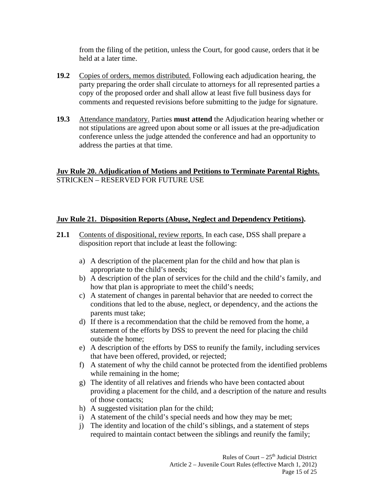from the filing of the petition, unless the Court, for good cause, orders that it be held at a later time.

- **19.2** Copies of orders, memos distributed. Following each adjudication hearing, the party preparing the order shall circulate to attorneys for all represented parties a copy of the proposed order and shall allow at least five full business days for comments and requested revisions before submitting to the judge for signature.
- **19.3** Attendance mandatory. Parties **must attend** the Adjudication hearing whether or not stipulations are agreed upon about some or all issues at the pre-adjudication conference unless the judge attended the conference and had an opportunity to address the parties at that time.

# **Juv Rule 20. Adjudication of Motions and Petitions to Terminate Parental Rights.** STRICKEN – RESERVED FOR FUTURE USE

#### **Juv Rule 21. Disposition Reports (Abuse, Neglect and Dependency Petitions).**

- **21.1** Contents of dispositional, review reports. In each case, DSS shall prepare a disposition report that include at least the following:
	- a) A description of the placement plan for the child and how that plan is appropriate to the child's needs;
	- b) A description of the plan of services for the child and the child's family, and how that plan is appropriate to meet the child's needs;
	- c) A statement of changes in parental behavior that are needed to correct the conditions that led to the abuse, neglect, or dependency, and the actions the parents must take;
	- d) If there is a recommendation that the child be removed from the home, a statement of the efforts by DSS to prevent the need for placing the child outside the home;
	- e) A description of the efforts by DSS to reunify the family, including services that have been offered, provided, or rejected;
	- f) A statement of why the child cannot be protected from the identified problems while remaining in the home;
	- g) The identity of all relatives and friends who have been contacted about providing a placement for the child, and a description of the nature and results of those contacts;
	- h) A suggested visitation plan for the child;
	- i) A statement of the child's special needs and how they may be met;
	- j) The identity and location of the child's siblings, and a statement of steps required to maintain contact between the siblings and reunify the family;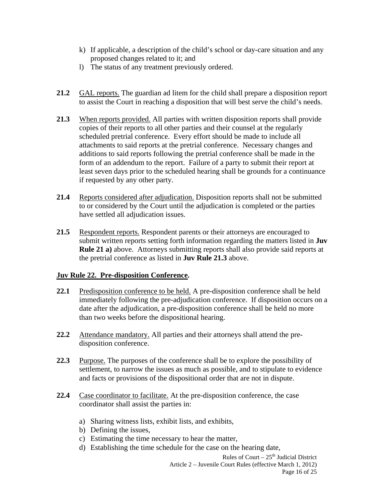- k) If applicable, a description of the child's school or day-care situation and any proposed changes related to it; and
- l) The status of any treatment previously ordered.
- **21.2** GAL reports. The guardian ad litem for the child shall prepare a disposition report to assist the Court in reaching a disposition that will best serve the child's needs.
- **21.3** When reports provided. All parties with written disposition reports shall provide copies of their reports to all other parties and their counsel at the regularly scheduled pretrial conference. Every effort should be made to include all attachments to said reports at the pretrial conference. Necessary changes and additions to said reports following the pretrial conference shall be made in the form of an addendum to the report. Failure of a party to submit their report at least seven days prior to the scheduled hearing shall be grounds for a continuance if requested by any other party.
- **21.4** Reports considered after adjudication. Disposition reports shall not be submitted to or considered by the Court until the adjudication is completed or the parties have settled all adjudication issues.
- **21.5** Respondent reports. Respondent parents or their attorneys are encouraged to submit written reports setting forth information regarding the matters listed in **Juv Rule 21 a)** above. Attorneys submitting reports shall also provide said reports at the pretrial conference as listed in **Juv Rule 21.3** above.

#### **Juv Rule 22. Pre-disposition Conference.**

- **22.1** Predisposition conference to be held. A pre-disposition conference shall be held immediately following the pre-adjudication conference. If disposition occurs on a date after the adjudication, a pre-disposition conference shall be held no more than two weeks before the dispositional hearing.
- **22.2** Attendance mandatory. All parties and their attorneys shall attend the predisposition conference.
- **22.3** Purpose. The purposes of the conference shall be to explore the possibility of settlement, to narrow the issues as much as possible, and to stipulate to evidence and facts or provisions of the dispositional order that are not in dispute.
- **22.4** Case coordinator to facilitate. At the pre-disposition conference, the case coordinator shall assist the parties in:
	- a) Sharing witness lists, exhibit lists, and exhibits,
	- b) Defining the issues,
	- c) Estimating the time necessary to hear the matter,
	- d) Establishing the time schedule for the case on the hearing date,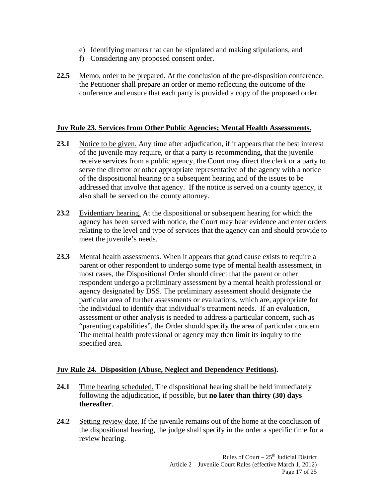- e) Identifying matters that can be stipulated and making stipulations, and
- f) Considering any proposed consent order.
- **22.5** Memo, order to be prepared. At the conclusion of the pre-disposition conference, the Petitioner shall prepare an order or memo reflecting the outcome of the conference and ensure that each party is provided a copy of the proposed order.

#### **Juv Rule 23. Services from Other Public Agencies; Mental Health Assessments.**

- **23.1** Notice to be given. Any time after adjudication, if it appears that the best interest of the juvenile may require, or that a party is recommending, that the juvenile receive services from a public agency, the Court may direct the clerk or a party to serve the director or other appropriate representative of the agency with a notice of the dispositional hearing or a subsequent hearing and of the issues to be addressed that involve that agency. If the notice is served on a county agency, it also shall be served on the county attorney.
- **23.2** Evidentiary hearing. At the dispositional or subsequent hearing for which the agency has been served with notice, the Court may hear evidence and enter orders relating to the level and type of services that the agency can and should provide to meet the juvenile's needs.
- **23.3** Mental health assessments. When it appears that good cause exists to require a parent or other respondent to undergo some type of mental health assessment, in most cases, the Dispositional Order should direct that the parent or other respondent undergo a preliminary assessment by a mental health professional or agency designated by DSS. The preliminary assessment should designate the particular area of further assessments or evaluations, which are, appropriate for the individual to identify that individual's treatment needs. If an evaluation, assessment or other analysis is needed to address a particular concern, such as "parenting capabilities", the Order should specify the area of particular concern. The mental health professional or agency may then limit its inquiry to the specified area.

# **Juv Rule 24. Disposition (Abuse, Neglect and Dependency Petitions).**

- **24.1** Time hearing scheduled. The dispositional hearing shall be held immediately following the adjudication, if possible, but **no later than thirty (30) days thereafter**.
- **24.2** Setting review date. If the juvenile remains out of the home at the conclusion of the dispositional hearing, the judge shall specify in the order a specific time for a review hearing.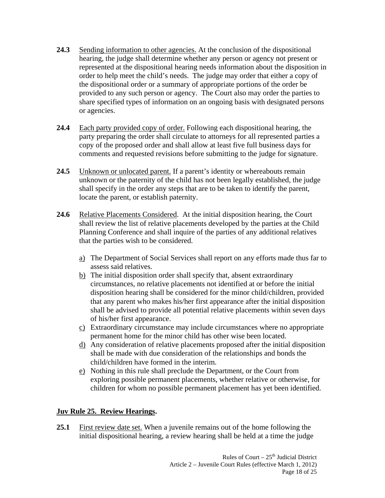- **24.3** Sending information to other agencies. At the conclusion of the dispositional hearing, the judge shall determine whether any person or agency not present or represented at the dispositional hearing needs information about the disposition in order to help meet the child's needs. The judge may order that either a copy of the dispositional order or a summary of appropriate portions of the order be provided to any such person or agency. The Court also may order the parties to share specified types of information on an ongoing basis with designated persons or agencies.
- **24.4** Each party provided copy of order. Following each dispositional hearing, the party preparing the order shall circulate to attorneys for all represented parties a copy of the proposed order and shall allow at least five full business days for comments and requested revisions before submitting to the judge for signature.
- **24.5** Unknown or unlocated parent. If a parent's identity or whereabouts remain unknown or the paternity of the child has not been legally established, the judge shall specify in the order any steps that are to be taken to identify the parent, locate the parent, or establish paternity.
- **24.6** Relative Placements Considered. At the initial disposition hearing, the Court shall review the list of relative placements developed by the parties at the Child Planning Conference and shall inquire of the parties of any additional relatives that the parties wish to be considered.
	- a) The Department of Social Services shall report on any efforts made thus far to assess said relatives.
	- b) The initial disposition order shall specify that, absent extraordinary circumstances, no relative placements not identified at or before the initial disposition hearing shall be considered for the minor child/children, provided that any parent who makes his/her first appearance after the initial disposition shall be advised to provide all potential relative placements within seven days of his/her first appearance.
	- c) Extraordinary circumstance may include circumstances where no appropriate permanent home for the minor child has other wise been located.
	- d) Any consideration of relative placements proposed after the initial disposition shall be made with due consideration of the relationships and bonds the child/children have formed in the interim.
	- e) Nothing in this rule shall preclude the Department, or the Court from exploring possible permanent placements, whether relative or otherwise, for children for whom no possible permanent placement has yet been identified.

# **Juv Rule 25. Review Hearings.**

**25.1** First review date set. When a juvenile remains out of the home following the initial dispositional hearing, a review hearing shall be held at a time the judge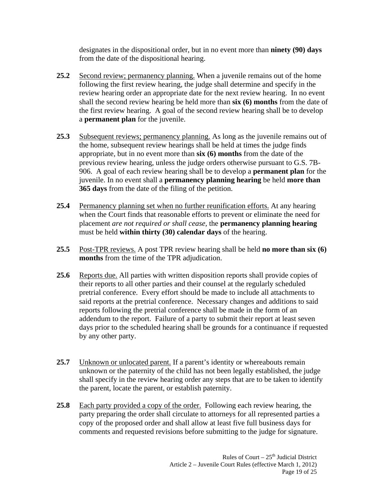designates in the dispositional order, but in no event more than **ninety (90) days** from the date of the dispositional hearing.

- **25.2** Second review; permanency planning. When a juvenile remains out of the home following the first review hearing, the judge shall determine and specify in the review hearing order an appropriate date for the next review hearing. In no event shall the second review hearing be held more than **six (6) months** from the date of the first review hearing. A goal of the second review hearing shall be to develop a **permanent plan** for the juvenile.
- **25.3** Subsequent reviews; permanency planning. As long as the juvenile remains out of the home, subsequent review hearings shall be held at times the judge finds appropriate, but in no event more than **six (6) months** from the date of the previous review hearing, unless the judge orders otherwise pursuant to G.S. 7B-906. A goal of each review hearing shall be to develop a **permanent plan** for the juvenile. In no event shall a **permanency planning hearing** be held **more than 365 days** from the date of the filing of the petition.
- **25.4** Permanency planning set when no further reunification efforts. At any hearing when the Court finds that reasonable efforts to prevent or eliminate the need for placement *are not required or shall cease,* the **permanency planning hearing** must be held **within thirty (30) calendar days** of the hearing.
- **25.5** Post-TPR reviews. A post TPR review hearing shall be held **no more than six (6) months** from the time of the TPR adjudication.
- **25.6** Reports due. All parties with written disposition reports shall provide copies of their reports to all other parties and their counsel at the regularly scheduled pretrial conference. Every effort should be made to include all attachments to said reports at the pretrial conference. Necessary changes and additions to said reports following the pretrial conference shall be made in the form of an addendum to the report. Failure of a party to submit their report at least seven days prior to the scheduled hearing shall be grounds for a continuance if requested by any other party.
- 25.7 Unknown or unlocated parent. If a parent's identity or whereabouts remain unknown or the paternity of the child has not been legally established, the judge shall specify in the review hearing order any steps that are to be taken to identify the parent, locate the parent, or establish paternity.
- **25.8** Each party provided a copy of the order. Following each review hearing, the party preparing the order shall circulate to attorneys for all represented parties a copy of the proposed order and shall allow at least five full business days for comments and requested revisions before submitting to the judge for signature.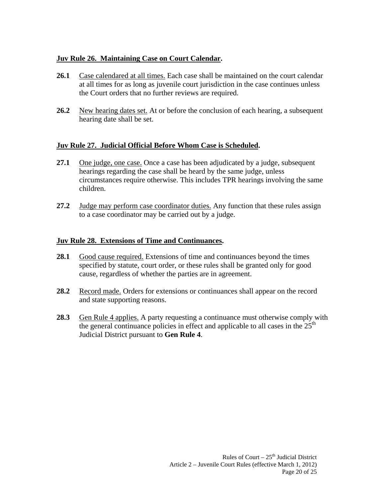# **Juv Rule 26. Maintaining Case on Court Calendar.**

- **26.1** Case calendared at all times. Each case shall be maintained on the court calendar at all times for as long as juvenile court jurisdiction in the case continues unless the Court orders that no further reviews are required.
- 26.2 New hearing dates set. At or before the conclusion of each hearing, a subsequent hearing date shall be set.

# **Juv Rule 27. Judicial Official Before Whom Case is Scheduled.**

- **27.1** One judge, one case. Once a case has been adjudicated by a judge, subsequent hearings regarding the case shall be heard by the same judge, unless circumstances require otherwise. This includes TPR hearings involving the same children.
- **27.2** Judge may perform case coordinator duties. Any function that these rules assign to a case coordinator may be carried out by a judge.

# **Juv Rule 28. Extensions of Time and Continuances.**

- **28.1** Good cause required. Extensions of time and continuances beyond the times specified by statute, court order, or these rules shall be granted only for good cause, regardless of whether the parties are in agreement.
- **28.2** Record made. Orders for extensions or continuances shall appear on the record and state supporting reasons.
- 28.3 Gen Rule 4 applies. A party requesting a continuance must otherwise comply with the general continuance policies in effect and applicable to all cases in the  $25<sup>th</sup>$ Judicial District pursuant to **Gen Rule 4**.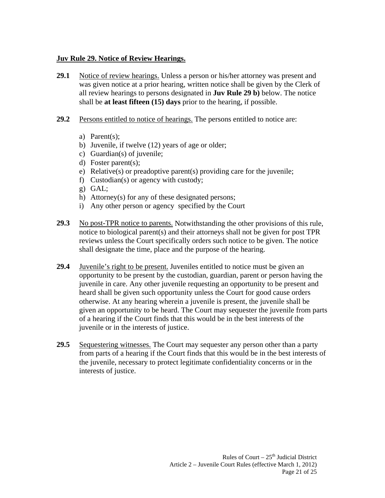#### **Juv Rule 29. Notice of Review Hearings.**

- **29.1** Notice of review hearings. Unless a person or his/her attorney was present and was given notice at a prior hearing, written notice shall be given by the Clerk of all review hearings to persons designated in **Juv Rule 29 b)** below. The notice shall be **at least fifteen (15) days** prior to the hearing, if possible.
- **29.2** Persons entitled to notice of hearings. The persons entitled to notice are:
	- a) Parent(s);
	- b) Juvenile, if twelve (12) years of age or older;
	- c) Guardian(s) of juvenile;
	- d) Foster parent(s);
	- e) Relative(s) or preadoptive parent(s) providing care for the juvenile;
	- f) Custodian(s) or agency with custody;
	- g) GAL;
	- h) Attorney(s) for any of these designated persons;
	- i) Any other person or agency specified by the Court
- **29.3** No post-TPR notice to parents. Notwithstanding the other provisions of this rule, notice to biological parent(s) and their attorneys shall not be given for post TPR reviews unless the Court specifically orders such notice to be given. The notice shall designate the time, place and the purpose of the hearing.
- **29.4** Juvenile's right to be present. Juveniles entitled to notice must be given an opportunity to be present by the custodian, guardian, parent or person having the juvenile in care. Any other juvenile requesting an opportunity to be present and heard shall be given such opportunity unless the Court for good cause orders otherwise. At any hearing wherein a juvenile is present, the juvenile shall be given an opportunity to be heard. The Court may sequester the juvenile from parts of a hearing if the Court finds that this would be in the best interests of the juvenile or in the interests of justice.
- **29.5** Sequestering witnesses. The Court may sequester any person other than a party from parts of a hearing if the Court finds that this would be in the best interests of the juvenile, necessary to protect legitimate confidentiality concerns or in the interests of justice.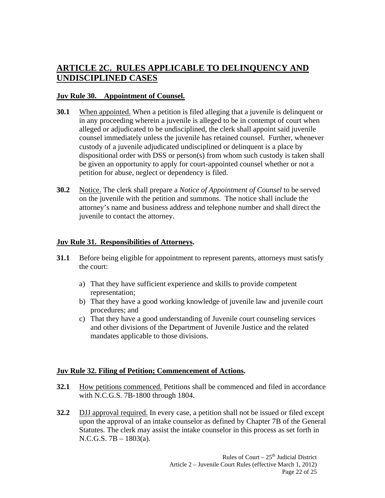# **ARTICLE 2C. RULES APPLICABLE TO DELINQUENCY AND UNDISCIPLINED CASES**

#### **Juv Rule 30. Appointment of Counsel.**

- **30.1** When appointed. When a petition is filed alleging that a juvenile is delinquent or in any proceeding wherein a juvenile is alleged to be in contempt of court when alleged or adjudicated to be undisciplined, the clerk shall appoint said juvenile counsel immediately unless the juvenile has retained counsel. Further, whenever custody of a juvenile adjudicated undisciplined or delinquent is a place by dispositional order with DSS or person(s) from whom such custody is taken shall be given an opportunity to apply for court-appointed counsel whether or not a petition for abuse, neglect or dependency is filed.
- **30.2** Notice. The clerk shall prepare a *Notice of Appointment of Counsel* to be served on the juvenile with the petition and summons. The notice shall include the attorney's name and business address and telephone number and shall direct the juvenile to contact the attorney.

#### **Juv Rule 31. Responsibilities of Attorneys.**

- **31.1** Before being eligible for appointment to represent parents, attorneys must satisfy the court:
	- a) That they have sufficient experience and skills to provide competent representation;
	- b) That they have a good working knowledge of juvenile law and juvenile court procedures; and
	- c) That they have a good understanding of Juvenile court counseling services and other divisions of the Department of Juvenile Justice and the related mandates applicable to those divisions.

#### **Juv Rule 32. Filing of Petition; Commencement of Actions.**

- **32.1** How petitions commenced. Petitions shall be commenced and filed in accordance with N.C.G.S. 7B-1800 through 1804.
- **32.2** DJJ approval required. In every case, a petition shall not be issued or filed except upon the approval of an intake counselor as defined by Chapter 7B of the General Statutes. The clerk may assist the intake counselor in this process as set forth in N.C.G.S. 7B – 1803(a).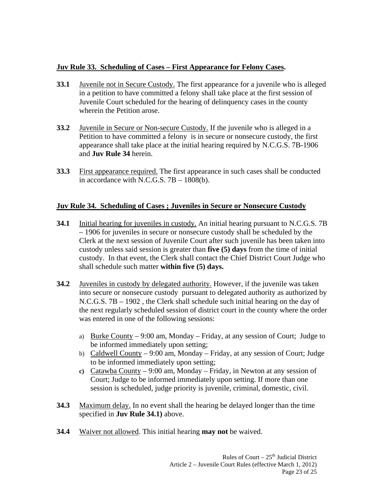# **Juv Rule 33. Scheduling of Cases – First Appearance for Felony Cases.**

- **33.1** Juvenile not in Secure Custody. The first appearance for a juvenile who is alleged in a petition to have committed a felony shall take place at the first session of Juvenile Court scheduled for the hearing of delinquency cases in the county wherein the Petition arose.
- **33.2** Juvenile in Secure or Non-secure Custody. If the juvenile who is alleged in a Petition to have committed a felony is in secure or nonsecure custody, the first appearance shall take place at the initial hearing required by N.C.G.S. 7B-1906 and **Juv Rule 34** herein.
- **33.3** First appearance required. The first appearance in such cases shall be conducted in accordance with N.C.G.S. 7B – 1808(b).

# **Juv Rule 34. Scheduling of Cases ; Juveniles in Secure or Nonsecure Custody**

- **34.1** Initial hearing for juveniles in custody. An initial hearing pursuant to N.C.G.S. 7B – 1906 for juveniles in secure or nonsecure custody shall be scheduled by the Clerk at the next session of Juvenile Court after such juvenile has been taken into custody unless said session is greater than **five (5) days** from the time of initial custody. In that event, the Clerk shall contact the Chief District Court Judge who shall schedule such matter **within five (5) days.**
- **34.2** Juveniles in custody by delegated authority. However, if the juvenile was taken into secure or nonsecure custody pursuant to delegated authority as authorized by N.C.G.S. 7B – 1902 , the Clerk shall schedule such initial hearing on the day of the next regularly scheduled session of district court in the county where the order was entered in one of the following sessions:
	- a) Burke County  $-9:00$  am, Monday  $-$  Friday, at any session of Court; Judge to be informed immediately upon setting;
	- b) Caldwell County 9:00 am, Monday Friday, at any session of Court; Judge to be informed immediately upon setting;
	- **c)** Catawba County 9:00 am, Monday Friday, in Newton at any session of Court; Judge to be informed immediately upon setting. If more than one session is scheduled, judge priority is juvenile, criminal, domestic, civil.
- **34.3** Maximum delay. In no event shall the hearing be delayed longer than the time specified in **Juv Rule 34.1)** above.
- **34.4** Waiver not allowed. This initial hearing **may not** be waived.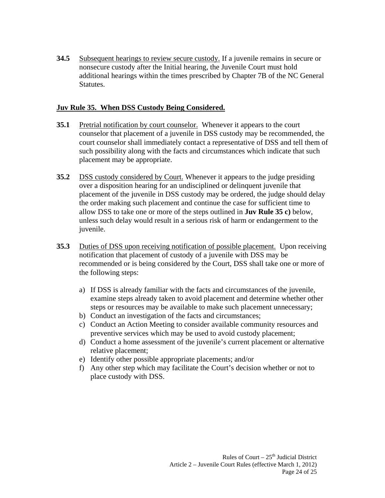**34.5** Subsequent hearings to review secure custody. If a juvenile remains in secure or nonsecure custody after the Initial hearing, the Juvenile Court must hold additional hearings within the times prescribed by Chapter 7B of the NC General **Statutes**.

#### **Juv Rule 35. When DSS Custody Being Considered.**

- **35.1** Pretrial notification by court counselor. Whenever it appears to the court counselor that placement of a juvenile in DSS custody may be recommended, the court counselor shall immediately contact a representative of DSS and tell them of such possibility along with the facts and circumstances which indicate that such placement may be appropriate.
- **35.2** DSS custody considered by Court. Whenever it appears to the judge presiding over a disposition hearing for an undisciplined or delinquent juvenile that placement of the juvenile in DSS custody may be ordered, the judge should delay the order making such placement and continue the case for sufficient time to allow DSS to take one or more of the steps outlined in **Juv Rule 35 c)** below, unless such delay would result in a serious risk of harm or endangerment to the juvenile.
- **35.3** Duties of DSS upon receiving notification of possible placement. Upon receiving notification that placement of custody of a juvenile with DSS may be recommended or is being considered by the Court, DSS shall take one or more of the following steps:
	- a) If DSS is already familiar with the facts and circumstances of the juvenile, examine steps already taken to avoid placement and determine whether other steps or resources may be available to make such placement unnecessary;
	- b) Conduct an investigation of the facts and circumstances;
	- c) Conduct an Action Meeting to consider available community resources and preventive services which may be used to avoid custody placement;
	- d) Conduct a home assessment of the juvenile's current placement or alternative relative placement;
	- e) Identify other possible appropriate placements; and/or
	- f) Any other step which may facilitate the Court's decision whether or not to place custody with DSS.